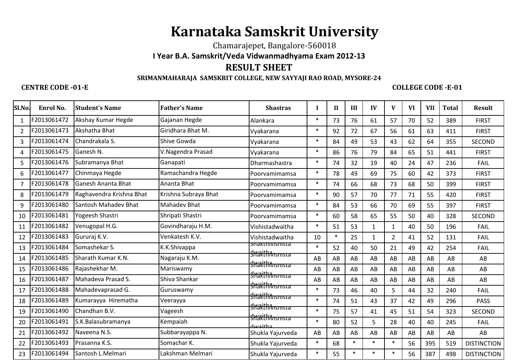# **Karnataka Samskrit University**

Chamarajepet, Bangalore-560018

## **I Year B.A. Samskrit/Veda Vidwanmadhyama Exam 2012-13**

# **RESULT SHEET**

### **SRIMANMAHARAJA SAMSKRIT COLLEGE, NEW SAYYAJI RAO ROAD, MYSORE-24**

**CENTRE CODE -01-E COLLEGE CODE -E-01** 

| Enrol No.<br>F2013061472<br>F2013061473 | <b>Student's Name</b><br>Akshay Kumar Hegde | <b>Father's Name</b> | <b>Shastras</b>  | I                                                                                                                                                                                                   | $\mathbf{I}$ | III    | IV           | V              | VI | <b>VII</b> | <b>Total</b> | <b>Result</b>      |
|-----------------------------------------|---------------------------------------------|----------------------|------------------|-----------------------------------------------------------------------------------------------------------------------------------------------------------------------------------------------------|--------------|--------|--------------|----------------|----|------------|--------------|--------------------|
|                                         |                                             |                      |                  |                                                                                                                                                                                                     |              |        |              |                |    |            |              |                    |
|                                         |                                             | Gajanan Hegde        | Alankara         | $\ast$                                                                                                                                                                                              | 73           | 76     | 61           | 57             | 70 | 52         | 389          | <b>FIRST</b>       |
|                                         | Akshatha Bhat                               | Giridhara Bhat M.    | Vyakarana        | $\ast$                                                                                                                                                                                              | 92           | 72     | 67           | 56             | 61 | 63         | 411          | <b>FIRST</b>       |
| F2013061474                             | Chandrakala S.                              | Shive Gowda          | Vyakarana        | $\ast$                                                                                                                                                                                              | 84           | 49     | 53           | 43             | 62 | 64         | 355          | <b>SECOND</b>      |
| F2013061475                             | Ganesh N.                                   | V.Nagendra Prasad    | Vyakarana        | $\ast$                                                                                                                                                                                              | 86           | 76     | 79           | 84             | 65 | 51         | 441          | <b>FIRST</b>       |
| F2013061476                             | Subramanya Bhat                             | Ganapati             | Dharmashastra    | $\ast$                                                                                                                                                                                              | 74           | 32     | 19           | 40             | 24 | 47         | 236          | <b>FAIL</b>        |
| F2013061477                             | Chinmaya Hegde                              | Ramachandra Hegde    | Poorvamimamsa    | $\ast$                                                                                                                                                                                              | 78           | 49     | 69           | 75             | 60 | 42         | 373          | <b>FIRST</b>       |
| F2013061478                             | <b>Ganesh Ananta Bhat</b>                   | Ananta Bhat          | Poorvamimamsa    | $\ast$                                                                                                                                                                                              | 74           | 66     | 68           | 73             | 68 | 50         | 399          | <b>FIRST</b>       |
| F2013061479                             | Raghavendra Krishna Bhat                    | Krishna Subraya Bhat | Poorvamimamsa    | $\ast$                                                                                                                                                                                              | 90           | 57     | 70           | 77             | 71 | 55         | 420          | <b>FIRST</b>       |
| F2013061480                             | Santosh Mahadev Bhat                        | <b>Mahadev Bhat</b>  | Poorvamimamsa    | $\ast$                                                                                                                                                                                              | 84           | 53     | 66           | 70             | 69 | 55         | 397          | <b>FIRST</b>       |
| F2013061481                             | Yogeesh Shastri                             | Shripati Shastri     | Poorvamimamsa    | $\ast$                                                                                                                                                                                              | 60           | 58     | 65           | 55             | 50 | 40         | 328          | <b>SECOND</b>      |
| F2013061482                             | Venugopal H.G.                              | Govindharaju H.M.    | Vishistadwaitha  | $\ast$                                                                                                                                                                                              | 51           | 53     | $\mathbf{1}$ | $\mathbf{1}$   | 40 | 50         | 196          | FAIL               |
| F2013061483                             | Gururaj K.V.                                | Venkatesh K.V.       | Vishistadwaitha  | 10                                                                                                                                                                                                  | $\ast$       | 25     | $\mathbf{1}$ | $\overline{2}$ | 41 | 52         | 131          | FAIL               |
| F2013061484                             | Somashekar S.                               | K.K.Shivappa         |                  | $\ast$                                                                                                                                                                                              | 52           | 40     | 50           | 21             | 49 | 42         | 254          | <b>FAIL</b>        |
| F2013061485                             | Sharath Kumar K.N.                          | Nagaraju K.M.        |                  | AB                                                                                                                                                                                                  | AB           | AB     | AB           | AB             | AB | AB         | AB           | AB                 |
| F2013061486                             | Rajashekhar M.                              | Mariswamy            |                  | AB                                                                                                                                                                                                  | AB           | AB     | AB           | AB             | AB | AB         | AB           | AB                 |
| F2013061487                             | Mahadeva Prasad S.                          | Shiva Shankar        |                  | AB                                                                                                                                                                                                  | AB           | AB     | AB           | AB             | AB | AB         | AB           | AB                 |
| F2013061488                             | Mahadevaprasad G.                           | Guruswamy            |                  | $\ast$                                                                                                                                                                                              | 73           | 46     | 40           | 5              | 44 | 32         | 240          | <b>FAIL</b>        |
| F2013061489                             | Kumarayya Hirematha                         | Veerayya             |                  | $\ast$                                                                                                                                                                                              | 74           | 51     | 43           | 37             | 42 | 49         | 296          | <b>PASS</b>        |
| F2013061490                             | Chandhan B.V.                               | Vageesh              |                  | $\ast$                                                                                                                                                                                              | 75           | 57     | 41           | 45             | 51 | 54         | 323          | <b>SECOND</b>      |
| F2013061491                             | S.K.Balasubramanya                          | Kempaiah             | hwaitha          | $\ast$                                                                                                                                                                                              | 80           | 52     | 5            | 28             | 40 | 40         | 245          | <b>FAIL</b>        |
| F2013061492                             | Naveena N.S.                                | Subbarayappa N.      | Shukla Yajurveda | AB                                                                                                                                                                                                  | AB           | AB     | AB           | AB             | AB | AB         | AB           | AB                 |
| F2013061493                             | Prasanna K.S.                               | Somachar K.          | Shukla Yajurveda | $\ast$                                                                                                                                                                                              | 68           | $\ast$ | $\ast$       | $\ast$         | 56 | 395        | 519          | <b>DISTINCTION</b> |
| F2013061494                             | Santosh L.Melmari                           | Lakshman Melmari     | Shukla Yajurveda | $\ast$                                                                                                                                                                                              | 55           | $\ast$ | $\ast$       | $\ast$         | 56 | 387        | 498          | <b>DISTINCTION</b> |
|                                         |                                             |                      |                  | snaktnivisnista<br><b>Shakthivisnista</b><br><b>Shakthivisnista</b><br><b>Shakthivismsta</b><br><b>Shakthivisnista</b><br><b>Shakthivismsta</b><br><b>Shakthivisnista</b><br><b>Shakthivisnista</b> |              |        |              |                |    |            |              |                    |